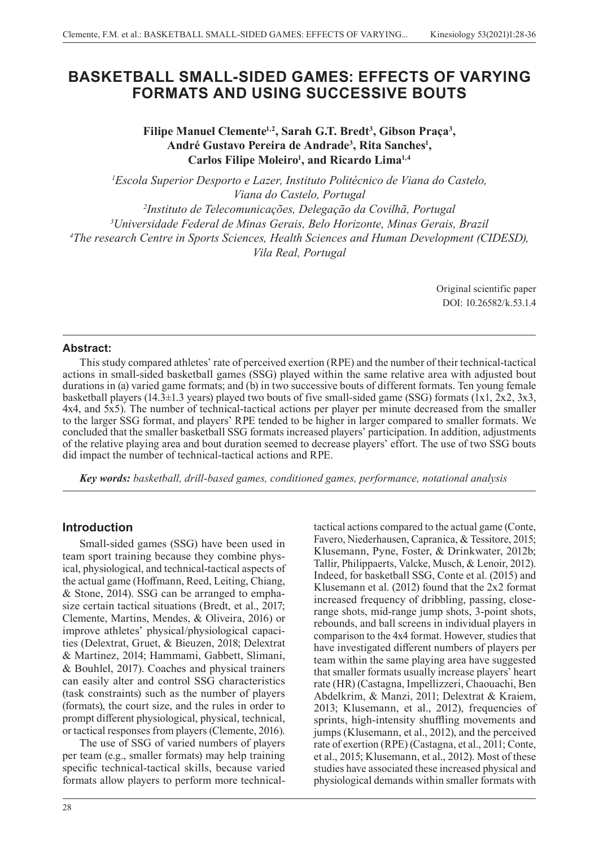# **BASKETBALL SMALL-SIDED GAMES: EFFECTS OF VARYING FORMATS AND USING SUCCESSIVE BOUTS**

Filipe Manuel Clemente<sup>1,2</sup>, Sarah G.T. Bredt<sup>3</sup>, Gibson Praça<sup>3</sup>, **André Gustavo Pereira de Andrade3 , Rita Sanches1 ,**  Carlos Filipe Moleiro<sup>1</sup>, and Ricardo Lima<sup>1,4</sup>

 *Escola Superior Desporto e Lazer, Instituto Politécnico de Viana do Castelo, Viana do Castelo, Portugal Instituto de Telecomunicações, Delegação da Covilhã, Portugal Universidade Federal de Minas Gerais, Belo Horizonte, Minas Gerais, Brazil The research Centre in Sports Sciences, Health Sciences and Human Development (CIDESD), Vila Real, Portugal*

> Original scientific paper DOI: 10.26582/k.53.1.4

### **Abstract:**

This study compared athletes' rate of perceived exertion (RPE) and the number of their technical-tactical actions in small-sided basketball games (SSG) played within the same relative area with adjusted bout durations in (a) varied game formats; and (b) in two successive bouts of different formats. Ten young female basketball players (14.3±1.3 years) played two bouts of five small-sided game (SSG) formats (1x1, 2x2, 3x3, 4x4, and 5x5). The number of technical-tactical actions per player per minute decreased from the smaller to the larger SSG format, and players' RPE tended to be higher in larger compared to smaller formats. We concluded that the smaller basketball SSG formats increased players' participation. In addition, adjustments of the relative playing area and bout duration seemed to decrease players' effort. The use of two SSG bouts did impact the number of technical-tactical actions and RPE.

*Key words: basketball, drill-based games, conditioned games, performance, notational analysis*

# **Introduction**

Small-sided games (SSG) have been used in team sport training because they combine physical, physiological, and technical-tactical aspects of the actual game (Hoffmann, Reed, Leiting, Chiang, & Stone, 2014). SSG can be arranged to emphasize certain tactical situations (Bredt, et al., 2017; Clemente, Martins, Mendes, & Oliveira, 2016) or improve athletes' physical/physiological capacities (Delextrat, Gruet, & Bieuzen, 2018; Delextrat & Martinez, 2014; Hammami, Gabbett, Slimani, & Bouhlel, 2017). Coaches and physical trainers can easily alter and control SSG characteristics (task constraints) such as the number of players (formats), the court size, and the rules in order to prompt different physiological, physical, technical, or tactical responses from players (Clemente, 2016).

The use of SSG of varied numbers of players per team (e.g., smaller formats) may help training specific technical-tactical skills, because varied formats allow players to perform more technical-

28

tactical actions compared to the actual game (Conte, Favero, Niederhausen, Capranica, & Tessitore, 2015; Klusemann, Pyne, Foster, & Drinkwater, 2012b; Tallir, Philippaerts, Valcke, Musch, & Lenoir, 2012). Indeed, for basketball SSG, Conte et al. (2015) and Klusemann et al. (2012) found that the 2x2 format increased frequency of dribbling, passing, closerange shots, mid-range jump shots, 3-point shots, rebounds, and ball screens in individual players in comparison to the 4x4 format. However, studies that have investigated different numbers of players per team within the same playing area have suggested that smaller formats usually increase players' heart rate (HR) (Castagna, Impellizzeri, Chaouachi, Ben Abdelkrim, & Manzi, 2011; Delextrat & Kraiem, 2013; Klusemann, et al., 2012), frequencies of sprints, high-intensity shuffling movements and jumps (Klusemann, et al., 2012), and the perceived rate of exertion (RPE) (Castagna, et al., 2011; Conte, et al., 2015; Klusemann, et al., 2012). Most of these studies have associated these increased physical and physiological demands within smaller formats with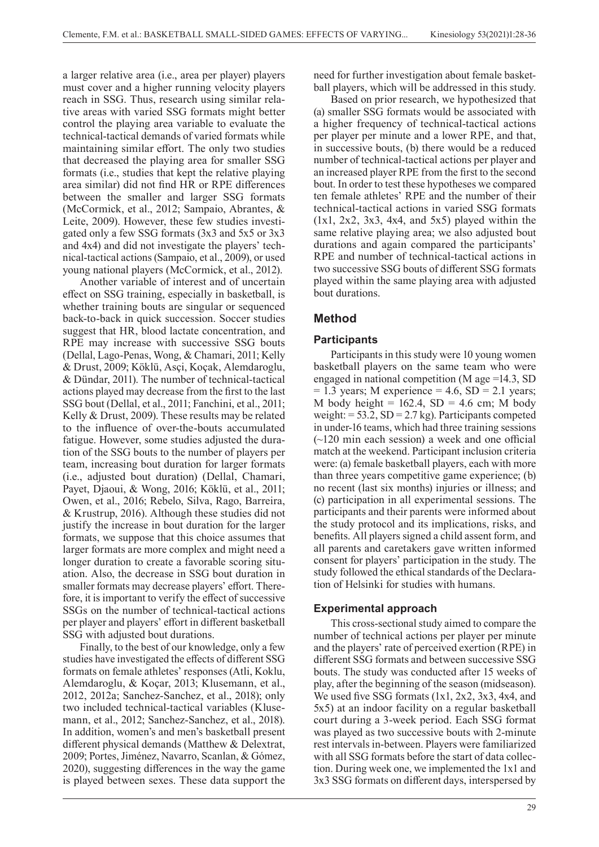a larger relative area (i.e., area per player) players must cover and a higher running velocity players reach in SSG. Thus, research using similar relative areas with varied SSG formats might better control the playing area variable to evaluate the technical-tactical demands of varied formats while maintaining similar effort. The only two studies that decreased the playing area for smaller SSG formats (i.e., studies that kept the relative playing area similar) did not find HR or RPE differences between the smaller and larger SSG formats (McCormick, et al., 2012; Sampaio, Abrantes, & Leite, 2009). However, these few studies investigated only a few SSG formats (3x3 and 5x5 or 3x3 and 4x4) and did not investigate the players' technical-tactical actions (Sampaio, et al., 2009), or used young national players (McCormick, et al., 2012).

Another variable of interest and of uncertain effect on SSG training, especially in basketball, is whether training bouts are singular or sequenced back-to-back in quick succession. Soccer studies suggest that HR, blood lactate concentration, and RPE may increase with successive SSG bouts (Dellal, Lago-Penas, Wong, & Chamari, 2011; Kelly & Drust, 2009; Köklü, Asçi, Koçak, Alemdaroglu, & Dündar, 2011). The number of technical-tactical actions played may decrease from the first to the last SSG bout (Dellal, et al., 2011; Fanchini, et al., 2011; Kelly & Drust, 2009). These results may be related to the influence of over-the-bouts accumulated fatigue. However, some studies adjusted the duration of the SSG bouts to the number of players per team, increasing bout duration for larger formats (i.e., adjusted bout duration) (Dellal, Chamari, Payet, Djaoui, & Wong, 2016; Köklü, et al., 2011; Owen, et al., 2016; Rebelo, Silva, Rago, Barreira, & Krustrup, 2016). Although these studies did not justify the increase in bout duration for the larger formats, we suppose that this choice assumes that larger formats are more complex and might need a longer duration to create a favorable scoring situation. Also, the decrease in SSG bout duration in smaller formats may decrease players' effort. Therefore, it is important to verify the effect of successive SSGs on the number of technical-tactical actions per player and players' effort in different basketball SSG with adjusted bout durations.

Finally, to the best of our knowledge, only a few studies have investigated the effects of different SSG formats on female athletes' responses (Atli, Koklu, Alemdaroglu, & Koçar, 2013; Klusemann, et al., 2012, 2012a; Sanchez-Sanchez, et al., 2018); only two included technical-tactical variables (Klusemann, et al., 2012; Sanchez-Sanchez, et al., 2018). In addition, women's and men's basketball present different physical demands (Matthew & Delextrat, 2009; Portes, Jiménez, Navarro, Scanlan, & Gómez, 2020), suggesting differences in the way the game is played between sexes. These data support the

need for further investigation about female basketball players, which will be addressed in this study.

Based on prior research, we hypothesized that (a) smaller SSG formats would be associated with a higher frequency of technical-tactical actions per player per minute and a lower RPE, and that, in successive bouts, (b) there would be a reduced number of technical-tactical actions per player and an increased player RPE from the first to the second bout. In order to test these hypotheses we compared ten female athletes' RPE and the number of their technical-tactical actions in varied SSG formats  $(1x1, 2x2, 3x3, 4x4, and 5x5)$  played within the same relative playing area; we also adjusted bout durations and again compared the participants' RPE and number of technical-tactical actions in two successive SSG bouts of different SSG formats played within the same playing area with adjusted bout durations.

# **Method**

### **Participants**

Participants in this study were 10 young women basketball players on the same team who were engaged in national competition (M age =14.3, SD  $= 1.3$  years; M experience  $= 4.6$ , SD  $= 2.1$  years; M body height =  $162.4$ , SD = 4.6 cm; M body weight: = 53.2, SD = 2.7 kg). Participants competed in under-16 teams, which had three training sessions (~120 min each session) a week and one official match at the weekend. Participant inclusion criteria were: (a) female basketball players, each with more than three years competitive game experience; (b) no recent (last six months) injuries or illness; and (c) participation in all experimental sessions. The participants and their parents were informed about the study protocol and its implications, risks, and benefits. All players signed a child assent form, and all parents and caretakers gave written informed consent for players' participation in the study. The study followed the ethical standards of the Declaration of Helsinki for studies with humans.

#### **Experimental approach**

This cross-sectional study aimed to compare the number of technical actions per player per minute and the players' rate of perceived exertion (RPE) in different SSG formats and between successive SSG bouts. The study was conducted after 15 weeks of play, after the beginning of the season (midseason). We used five SSG formats (1x1, 2x2, 3x3, 4x4, and 5x5) at an indoor facility on a regular basketball court during a 3-week period. Each SSG format was played as two successive bouts with 2-minute rest intervals in-between. Players were familiarized with all SSG formats before the start of data collection. During week one, we implemented the 1x1 and 3x3 SSG formats on different days, interspersed by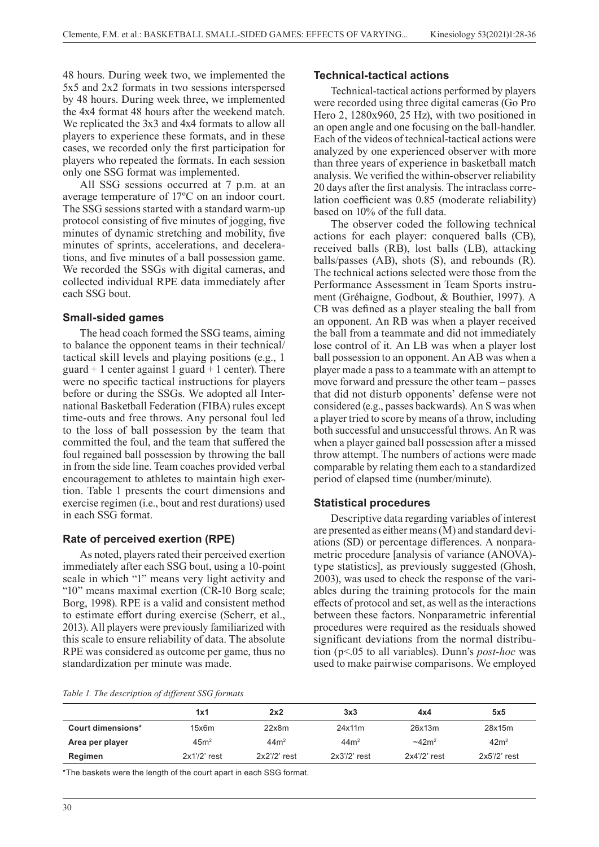48 hours. During week two, we implemented the 5x5 and 2x2 formats in two sessions interspersed by 48 hours. During week three, we implemented the 4x4 format 48 hours after the weekend match. We replicated the 3x3 and 4x4 formats to allow all players to experience these formats, and in these cases, we recorded only the first participation for players who repeated the formats. In each session only one SSG format was implemented.

All SSG sessions occurred at 7 p.m. at an average temperature of 17ºC on an indoor court. The SSG sessions started with a standard warm-up protocol consisting of five minutes of jogging, five minutes of dynamic stretching and mobility, five minutes of sprints, accelerations, and decelerations, and five minutes of a ball possession game. We recorded the SSGs with digital cameras, and collected individual RPE data immediately after each SSG bout.

#### **Small-sided games**

The head coach formed the SSG teams, aiming to balance the opponent teams in their technical/ tactical skill levels and playing positions (e.g., 1 guard  $+1$  center against 1 guard  $+1$  center). There were no specific tactical instructions for players before or during the SSGs. We adopted all International Basketball Federation (FIBA) rules except time-outs and free throws. Any personal foul led to the loss of ball possession by the team that committed the foul, and the team that suffered the foul regained ball possession by throwing the ball in from the side line. Team coaches provided verbal encouragement to athletes to maintain high exertion. Table 1 presents the court dimensions and exercise regimen (i.e., bout and rest durations) used in each SSG format.

#### **Rate of perceived exertion (RPE)**

As noted, players rated their perceived exertion immediately after each SSG bout, using a 10-point scale in which "1" means very light activity and "10" means maximal exertion (CR-10 Borg scale; Borg, 1998). RPE is a valid and consistent method to estimate effort during exercise (Scherr, et al., 2013). All players were previously familiarized with this scale to ensure reliability of data. The absolute RPE was considered as outcome per game, thus no standardization per minute was made.

#### **Technical-tactical actions**

Technical-tactical actions performed by players were recorded using three digital cameras (Go Pro Hero 2, 1280x960, 25 Hz), with two positioned in an open angle and one focusing on the ball-handler. Each of the videos of technical-tactical actions were analyzed by one experienced observer with more than three years of experience in basketball match analysis. We verified the within-observer reliability 20 days after the first analysis. The intraclass correlation coefficient was 0.85 (moderate reliability) based on 10% of the full data.

The observer coded the following technical actions for each player: conquered balls (CB), received balls (RB), lost balls (LB), attacking balls/passes (AB), shots (S), and rebounds (R). The technical actions selected were those from the Performance Assessment in Team Sports instrument (Gréhaigne, Godbout, & Bouthier, 1997). A CB was defined as a player stealing the ball from an opponent. An RB was when a player received the ball from a teammate and did not immediately lose control of it. An LB was when a player lost ball possession to an opponent. An AB was when a player made a pass to a teammate with an attempt to move forward and pressure the other team – passes that did not disturb opponents' defense were not considered (e.g., passes backwards). An S was when a player tried to score by means of a throw, including both successful and unsuccessful throws. An R was when a player gained ball possession after a missed throw attempt. The numbers of actions were made comparable by relating them each to a standardized period of elapsed time (number/minute).

#### **Statistical procedures**

Descriptive data regarding variables of interest are presented as either means (M) and standard deviations (SD) or percentage differences. A nonparametric procedure [analysis of variance (ANOVA) type statistics], as previously suggested (Ghosh, 2003), was used to check the response of the variables during the training protocols for the main effects of protocol and set, as well as the interactions between these factors. Nonparametric inferential procedures were required as the residuals showed significant deviations from the normal distribution (p<.05 to all variables). Dunn's *post-hoc* was used to make pairwise comparisons. We employed

|  | Table 1. The description of different SSG formats |  |  |
|--|---------------------------------------------------|--|--|
|  |                                                   |  |  |

|                   | 1x1              | 2x2              | 3x3             | 4x4                | 5x5              |
|-------------------|------------------|------------------|-----------------|--------------------|------------------|
| Court dimensions* | 15x6m            | 22x8m            | 24x11m          | 26x13m             | 28x15m           |
| Area per player   | 45m <sup>2</sup> | 44 <sup>2</sup>  | 44 <sup>2</sup> | ~242m <sup>2</sup> | 42m <sup>2</sup> |
| Regimen           | $2x1'$ /2' rest  | $2x2''/2$ ' rest | $2x3''2'$ rest  | $2x4''/2$ ' rest   | $2x5''/2$ ' rest |

\*The baskets were the length of the court apart in each SSG format.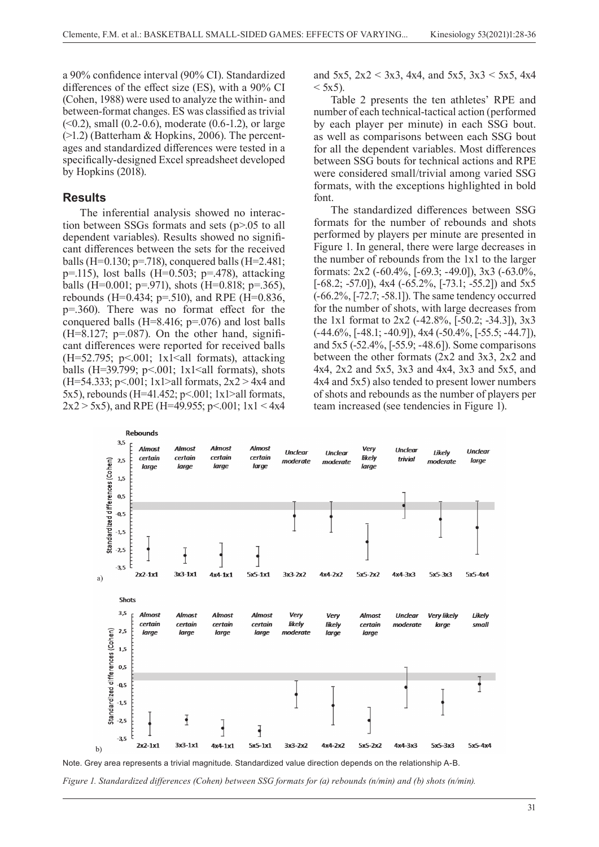a 90% confidence interval (90% CI). Standardized differences of the effect size (ES), with a 90% CI (Cohen, 1988) were used to analyze the within- and between-format changes. ES was classified as trivial  $( $0.2$ ), small  $(0.2-0.6)$ , moderate  $(0.6-1.2)$ , or large$ (>1.2) (Batterham & Hopkins, 2006). The percentages and standardized differences were tested in a specifically-designed Excel spreadsheet developed by Hopkins (2018).

#### **Results**

The inferential analysis showed no interaction between SSGs formats and sets (p>.05 to all dependent variables). Results showed no significant differences between the sets for the received balls (H=0.130; p=.718), conquered balls (H=2.481; p=.115), lost balls (H=0.503; p=.478), attacking balls (H=0.001; p=.971), shots (H=0.818; p=.365), rebounds (H=0.434; p=.510), and RPE (H=0.836, p=.360). There was no format effect for the conquered balls (H=8.416; p=.076) and lost balls  $(H=8.127; p=.087)$ . On the other hand, significant differences were reported for received balls  $(H=52.795; p<.001; 1x1<all$  formats), attacking balls (H=39.799;  $p<0.001$ ; 1x1<all formats), shots (H=54.333; p<.001; 1x1>all formats,  $2x2 > 4x4$  and 5x5), rebounds (H=41.452; p<.001; 1x1>all formats,  $2x2 > 5x5$ ), and RPE (H=49.955; p<.001; 1x1 < 4x4 and 5x5,  $2x2 < 3x3$ , 4x4, and 5x5,  $3x3 < 5x5$ , 4x4  $<$  5x5).

Table 2 presents the ten athletes' RPE and number of each technical-tactical action (performed by each player per minute) in each SSG bout. as well as comparisons between each SSG bout for all the dependent variables. Most differences between SSG bouts for technical actions and RPE were considered small/trivial among varied SSG formats, with the exceptions highlighted in bold font.

The standardized differences between SSG formats for the number of rebounds and shots performed by players per minute are presented in Figure 1. In general, there were large decreases in the number of rebounds from the 1x1 to the larger formats: 2x2 (-60.4%, [-69.3; -49.0]), 3x3 (-63.0%,  $[-68.2; -57.0]$ , 4x4  $(-65.2\%, [-73.1; -55.2])$  and 5x5 (-66.2%, [-72.7; -58.1]). The same tendency occurred for the number of shots, with large decreases from the 1x1 format to 2x2 (-42.8%, [-50.2; -34.3]), 3x3  $(-44.6\%, [-48.1; -40.9]), 4x4 (-50.4\%, [-55.5; -44.7]),$ and 5x5 (-52.4%, [-55.9; -48.6]). Some comparisons between the other formats (2x2 and 3x3, 2x2 and 4x4, 2x2 and 5x5, 3x3 and 4x4, 3x3 and 5x5, and 4x4 and 5x5) also tended to present lower numbers of shots and rebounds as the number of players per team increased (see tendencies in Figure 1).



*Figure 1. Standardized differences (Cohen) between SSG formats for (a) rebounds (n/min) and (b) shots (n/min).*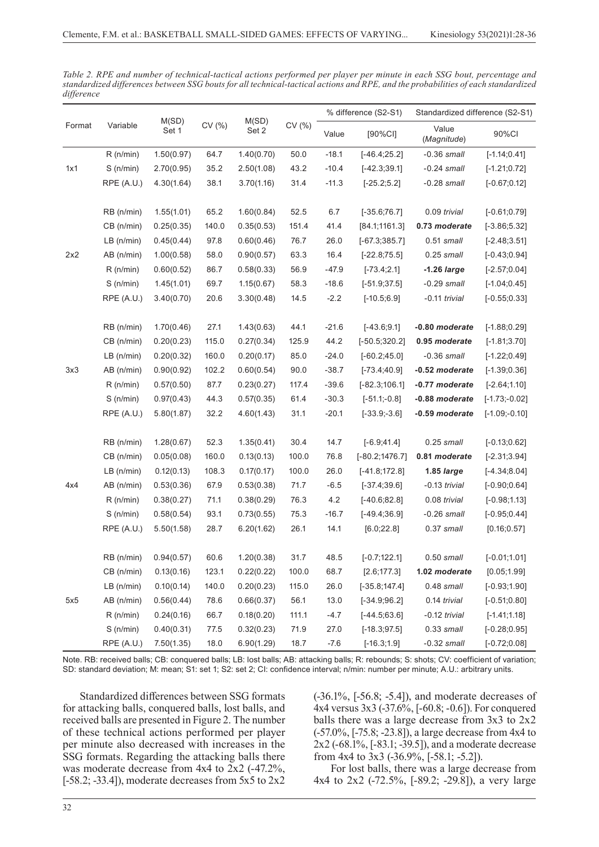| Format | Variable     | M(SD)<br>Set 1 | CV (%) | M(SD)<br>Set 2 | CV (%) | % difference (S2-S1) |                  | Standardized difference (S2-S1) |                  |
|--------|--------------|----------------|--------|----------------|--------|----------------------|------------------|---------------------------------|------------------|
|        |              |                |        |                |        | Value                | [90%CI]          | Value<br>(Magnitude)            | 90%CI            |
| 1x1    | $R$ (n/min)  | 1.50(0.97)     | 64.7   | 1.40(0.70)     | 50.0   | $-18.1$              | $[-46.4;25.2]$   | $-0.36$ small                   | $[-1.14; 0.41]$  |
|        | S(n/min)     | 2.70(0.95)     | 35.2   | 2.50(1.08)     | 43.2   | $-10.4$              | $[-42.3;39.1]$   | $-0.24$ small                   | $[-1.21;0.72]$   |
|        | RPE (A.U.)   | 4.30(1.64)     | 38.1   | 3.70(1.16)     | 31.4   | $-11.3$              | $[-25.2;5.2]$    | $-0.28$ small                   | $[-0.67;0.12]$   |
|        | RB (n/min)   | 1.55(1.01)     | 65.2   | 1.60(0.84)     | 52.5   | 6.7                  | $[-35.6;76.7]$   | 0.09 trivial                    | $[-0.61;0.79]$   |
|        | CB (n/min)   | 0.25(0.35)     | 140.0  | 0.35(0.53)     | 151.4  | 41.4                 | [84.1;1161.3]    | 0.73 moderate                   | $[-3.86;5.32]$   |
|        | $LB$ (n/min) | 0.45(0.44)     | 97.8   | 0.60(0.46)     | 76.7   | 26.0                 | $[-67.3;385.7]$  | $0.51$ small                    | $[-2.48; 3.51]$  |
| 2x2    | AB (n/min)   | 1.00(0.58)     | 58.0   | 0.90(0.57)     | 63.3   | 16.4                 | $[-22.8;75.5]$   | $0.25$ small                    | $[-0.43;0.94]$   |
|        | $R$ (n/min)  | 0.60(0.52)     | 86.7   | 0.58(0.33)     | 56.9   | $-47.9$              | $[-73.4;2.1]$    | $-1.26$ large                   | $[-2.57;0.04]$   |
|        | S(n/min)     | 1.45(1.01)     | 69.7   | 1.15(0.67)     | 58.3   | $-18.6$              | $[-51.9;37.5]$   | $-0.29$ small                   | $[-1.04; 0.45]$  |
|        | RPE (A.U.)   | 3.40(0.70)     | 20.6   | 3.30(0.48)     | 14.5   | $-2.2$               | $[-10.5;6.9]$    | $-0.11$ trivial                 | $[-0.55;0.33]$   |
|        | RB (n/min)   | 1.70(0.46)     | 27.1   | 1.43(0.63)     | 44.1   | $-21.6$              | $[-43.6;9.1]$    | -0.80 moderate                  | $[-1.88; 0.29]$  |
|        | CB (n/min)   | 0.20(0.23)     | 115.0  | 0.27(0.34)     | 125.9  | 44.2                 | $[-50.5;320.2]$  | 0.95 moderate                   | $[-1.81; 3.70]$  |
| 3x3    | $LB$ (n/min) | 0.20(0.32)     | 160.0  | 0.20(0.17)     | 85.0   | $-24.0$              | $[-60.2;45.0]$   | $-0.36$ small                   | $[-1.22;0.49]$   |
|        | AB (n/min)   | 0.90(0.92)     | 102.2  | 0.60(0.54)     | 90.0   | $-38.7$              | $[-73.4;40.9]$   | -0.52 moderate                  | $[-1.39; 0.36]$  |
|        | R(n/min)     | 0.57(0.50)     | 87.7   | 0.23(0.27)     | 117.4  | $-39.6$              | $[-82.3;106.1]$  | -0.77 moderate                  | $[-2.64;1.10]$   |
|        | S(n/min)     | 0.97(0.43)     | 44.3   | 0.57(0.35)     | 61.4   | $-30.3$              | $[-51.1; -0.8]$  | -0.88 moderate                  | $[-1.73; -0.02]$ |
|        | RPE (A.U.)   | 5.80(1.87)     | 32.2   | 4.60(1.43)     | 31.1   | $-20.1$              | $[-33.9, -3.6]$  | -0.59 moderate                  | $[-1.09; -0.10]$ |
| 4x4    | RB (n/min)   | 1.28(0.67)     | 52.3   | 1.35(0.41)     | 30.4   | 14.7                 | $[-6.9; 41.4]$   | $0.25$ small                    | $[-0.13;0.62]$   |
|        | CB (n/min)   | 0.05(0.08)     | 160.0  | 0.13(0.13)     | 100.0  | 76.8                 | $[-80.2;1476.7]$ | 0.81 moderate                   | $[-2.31; 3.94]$  |
|        | $LB$ (n/min) | 0.12(0.13)     | 108.3  | 0.17(0.17)     | 100.0  | 26.0                 | $[-41.8; 172.8]$ | 1.85 large                      | $[-4.34;8.04]$   |
|        | AB (n/min)   | 0.53(0.36)     | 67.9   | 0.53(0.38)     | 71.7   | $-6.5$               | $[-37.4;39.6]$   | $-0.13$ trivial                 | $[-0.90;0.64]$   |
|        | R(n/min)     | 0.38(0.27)     | 71.1   | 0.38(0.29)     | 76.3   | 4.2                  | $[-40.6;82.8]$   | 0.08 trivial                    | $[-0.98;1.13]$   |
|        | S(n/min)     | 0.58(0.54)     | 93.1   | 0.73(0.55)     | 75.3   | $-16.7$              | $[-49.4;36.9]$   | $-0.26$ small                   | $[-0.95;0.44]$   |
|        | RPE(A.U.)    | 5.50(1.58)     | 28.7   | 6.20(1.62)     | 26.1   | 14.1                 | [6.0;22.8]       | $0.37$ small                    | [0.16; 0.57]     |
| 5x5    | RB (n/min)   | 0.94(0.57)     | 60.6   | 1.20(0.38)     | 31.7   | 48.5                 | $[-0.7;122.1]$   | $0.50$ small                    | $[-0.01;1.01]$   |
|        | CB (n/min)   | 0.13(0.16)     | 123.1  | 0.22(0.22)     | 100.0  | 68.7                 | [2.6; 177.3]     | 1.02 moderate                   | [0.05; 1.99]     |
|        | $LB$ (n/min) | 0.10(0.14)     | 140.0  | 0.20(0.23)     | 115.0  | 26.0                 | $[-35.8;147.4]$  | $0.48$ small                    | $[-0.93; 1.90]$  |
|        | AB (n/min)   | 0.56(0.44)     | 78.6   | 0.66(0.37)     | 56.1   | 13.0                 | $[-34.9;96.2]$   | 0.14 trivial                    | $[-0.51;0.80]$   |
|        | $R$ (n/min)  | 0.24(0.16)     | 66.7   | 0.18(0.20)     | 111.1  | $-4.7$               | $[-44.5;63.6]$   | $-0.12$ trivial                 | $[-1.41;1.18]$   |
|        | S(n/min)     | 0.40(0.31)     | 77.5   | 0.32(0.23)     | 71.9   | 27.0                 | $[-18.3; 97.5]$  | $0.33$ small                    | $[-0.28;0.95]$   |
|        | RPE (A.U.)   | 7.50(1.35)     | 18.0   | 6.90(1.29)     | 18.7   | $-7.6$               | $[-16.3;1.9]$    | $-0.32$ small                   | $[-0.72;0.08]$   |

*Table 2. RPE and number of technical-tactical actions performed per player per minute in each SSG bout, percentage and standardized differences between SSG bouts for all technical-tactical actions and RPE, and the probabilities of each standardized difference*

Note. RB: received balls; CB: conquered balls; LB: lost balls; AB: attacking balls; R: rebounds; S: shots; CV: coefficient of variation; SD: standard deviation; M: mean; S1: set 1; S2: set 2; CI: confidence interval; n/min: number per minute; A.U.: arbitrary units.

Standardized differences between SSG formats for attacking balls, conquered balls, lost balls, and received balls are presented in Figure 2. The number of these technical actions performed per player per minute also decreased with increases in the SSG formats. Regarding the attacking balls there was moderate decrease from 4x4 to 2x2 (-47.2%,  $[-58.2, -33.4]$ , moderate decreases from  $5x5$  to  $2x2$ 

(-36.1%, [-56.8; -5.4]), and moderate decreases of 4x4 versus 3x3 (-37.6%, [-60.8; -0.6]). For conquered balls there was a large decrease from 3x3 to 2x2 (-57.0%, [-75.8; -23.8]), a large decrease from 4x4 to 2x2 (-68.1%, [-83.1; -39.5]), and a moderate decrease from 4x4 to 3x3 (-36.9%, [-58.1; -5.2]).

For lost balls, there was a large decrease from 4x4 to 2x2 (-72.5%, [-89.2; -29.8]), a very large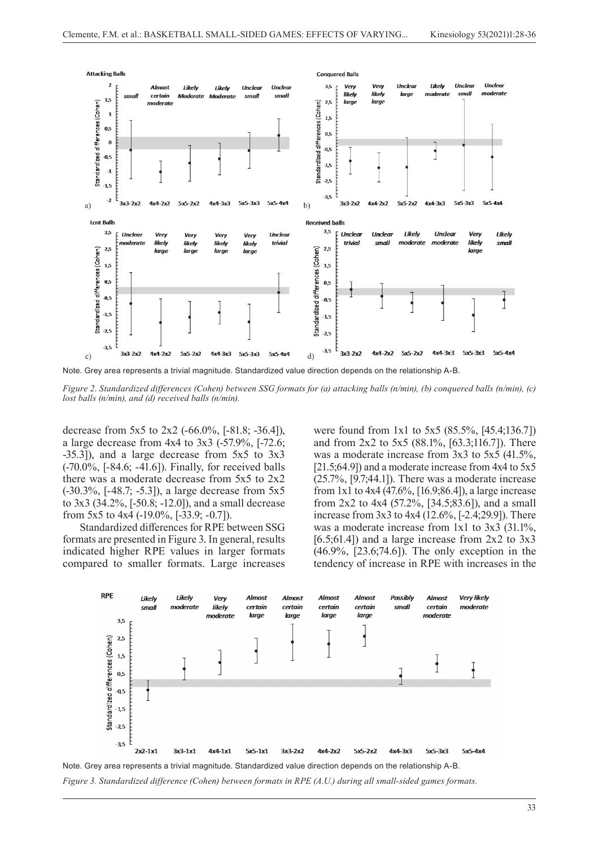

*Figure 2. Standardized differences (Cohen) between SSG formats for (a) attacking balls (n/min), (b) conquered balls (n/min), (c) lost balls (n/min), and (d) received balls (n/min).* 

decrease from 5x5 to 2x2 (-66.0%, [-81.8; -36.4]), a large decrease from 4x4 to 3x3 (-57.9%, [-72.6; -35.3]), and a large decrease from 5x5 to 3x3 (-70.0%, [-84.6; -41.6]). Finally, for received balls there was a moderate decrease from 5x5 to 2x2 (-30.3%, [-48.7; -5.3]), a large decrease from 5x5 to 3x3 (34.2%, [-50.8; -12.0]), and a small decrease from 5x5 to 4x4 (-19.0%, [-33.9; -0.7]).

Standardized differences for RPE between SSG formats are presented in Figure 3. In general, results indicated higher RPE values in larger formats compared to smaller formats. Large increases were found from 1x1 to 5x5 (85.5%, [45.4;136.7]) and from 2x2 to 5x5 (88.1%, [63.3;116.7]). There was a moderate increase from 3x3 to 5x5 (41.5%, [21.5;64.9]) and a moderate increase from 4x4 to 5x5 (25.7%, [9.7;44.1]). There was a moderate increase from 1x1 to 4x4 (47.6%, [16.9;86.4]), a large increase from 2x2 to 4x4 (57.2%, [34.5;83.6]), and a small increase from 3x3 to 4x4 (12.6%, [-2.4;29.9]). There was a moderate increase from 1x1 to 3x3 (31.1%, [6.5;61.4]) and a large increase from  $2x2$  to  $3x3$ (46.9%, [23.6;74.6]). The only exception in the tendency of increase in RPE with increases in the



*Figure 3. Standardized difference (Cohen) between formats in RPE (A.U.) during all small-sided games formats.*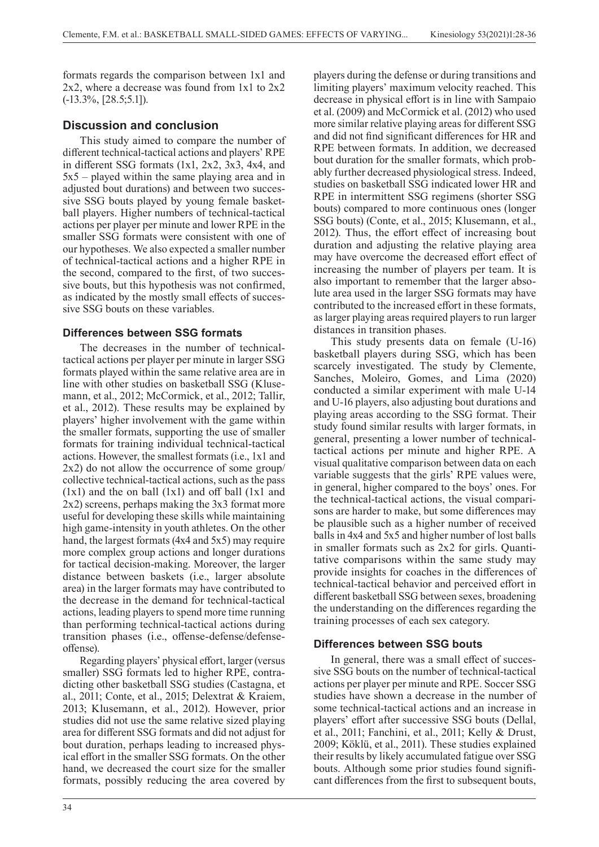formats regards the comparison between 1x1 and 2x2, where a decrease was found from 1x1 to 2x2 (-13.3%, [28.5;5.1]).

# **Discussion and conclusion**

This study aimed to compare the number of different technical-tactical actions and players' RPE in different SSG formats (1x1, 2x2, 3x3, 4x4, and 5x5 – played within the same playing area and in adjusted bout durations) and between two successive SSG bouts played by young female basketball players. Higher numbers of technical-tactical actions per player per minute and lower RPE in the smaller SSG formats were consistent with one of our hypotheses. We also expected a smaller number of technical-tactical actions and a higher RPE in the second, compared to the first, of two successive bouts, but this hypothesis was not confirmed, as indicated by the mostly small effects of successive SSG bouts on these variables.

# **Differences between SSG formats**

The decreases in the number of technicaltactical actions per player per minute in larger SSG formats played within the same relative area are in line with other studies on basketball SSG (Klusemann, et al., 2012; McCormick, et al., 2012; Tallir, et al., 2012). These results may be explained by players' higher involvement with the game within the smaller formats, supporting the use of smaller formats for training individual technical-tactical actions. However, the smallest formats (i.e., 1x1 and 2x2) do not allow the occurrence of some group/ collective technical-tactical actions, such as the pass (1x1) and the on ball (1x1) and off ball (1x1 and 2x2) screens, perhaps making the 3x3 format more useful for developing these skills while maintaining high game-intensity in youth athletes. On the other hand, the largest formats (4x4 and 5x5) may require more complex group actions and longer durations for tactical decision-making. Moreover, the larger distance between baskets (i.e., larger absolute area) in the larger formats may have contributed to the decrease in the demand for technical-tactical actions, leading players to spend more time running than performing technical-tactical actions during transition phases (i.e., offense-defense/defenseoffense).

Regarding players' physical effort, larger (versus smaller) SSG formats led to higher RPE, contradicting other basketball SSG studies (Castagna, et al., 2011; Conte, et al., 2015; Delextrat & Kraiem, 2013; Klusemann, et al., 2012). However, prior studies did not use the same relative sized playing area for different SSG formats and did not adjust for bout duration, perhaps leading to increased physical effort in the smaller SSG formats. On the other hand, we decreased the court size for the smaller formats, possibly reducing the area covered by

players during the defense or during transitions and limiting players' maximum velocity reached. This decrease in physical effort is in line with Sampaio et al. (2009) and McCormick et al. (2012) who used more similar relative playing areas for different SSG and did not find significant differences for HR and RPE between formats. In addition, we decreased bout duration for the smaller formats, which probably further decreased physiological stress. Indeed, studies on basketball SSG indicated lower HR and RPE in intermittent SSG regimens (shorter SSG bouts) compared to more continuous ones (longer SSG bouts) (Conte, et al., 2015; Klusemann, et al., 2012). Thus, the effort effect of increasing bout duration and adjusting the relative playing area may have overcome the decreased effort effect of increasing the number of players per team. It is also important to remember that the larger absolute area used in the larger SSG formats may have contributed to the increased effort in these formats, as larger playing areas required players to run larger distances in transition phases.

This study presents data on female (U-16) basketball players during SSG, which has been scarcely investigated. The study by Clemente, Sanches, Moleiro, Gomes, and Lima (2020) conducted a similar experiment with male U-14 and U-16 players, also adjusting bout durations and playing areas according to the SSG format. Their study found similar results with larger formats, in general, presenting a lower number of technicaltactical actions per minute and higher RPE. A visual qualitative comparison between data on each variable suggests that the girls' RPE values were, in general, higher compared to the boys' ones. For the technical-tactical actions, the visual comparisons are harder to make, but some differences may be plausible such as a higher number of received balls in 4x4 and 5x5 and higher number of lost balls in smaller formats such as 2x2 for girls. Quantitative comparisons within the same study may provide insights for coaches in the differences of technical-tactical behavior and perceived effort in different basketball SSG between sexes, broadening the understanding on the differences regarding the training processes of each sex category.

# **Differences between SSG bouts**

In general, there was a small effect of successive SSG bouts on the number of technical-tactical actions per player per minute and RPE. Soccer SSG studies have shown a decrease in the number of some technical-tactical actions and an increase in players' effort after successive SSG bouts (Dellal, et al., 2011; Fanchini, et al., 2011; Kelly & Drust, 2009; Köklü, et al., 2011). These studies explained their results by likely accumulated fatigue over SSG bouts. Although some prior studies found significant differences from the first to subsequent bouts,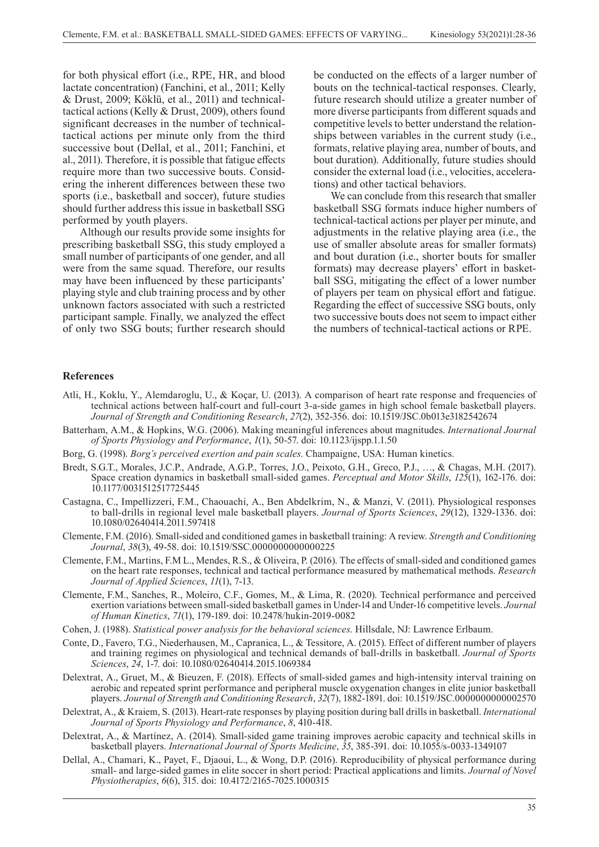for both physical effort (i.e., RPE, HR, and blood lactate concentration) (Fanchini, et al., 2011; Kelly & Drust, 2009; Köklü, et al., 2011) and technicaltactical actions (Kelly & Drust, 2009), others found significant decreases in the number of technicaltactical actions per minute only from the third successive bout (Dellal, et al., 2011; Fanchini, et al., 2011). Therefore, it is possible that fatigue effects require more than two successive bouts. Considering the inherent differences between these two sports (i.e., basketball and soccer), future studies should further address this issue in basketball SSG performed by youth players.

Although our results provide some insights for prescribing basketball SSG, this study employed a small number of participants of one gender, and all were from the same squad. Therefore, our results may have been influenced by these participants' playing style and club training process and by other unknown factors associated with such a restricted participant sample. Finally, we analyzed the effect of only two SSG bouts; further research should be conducted on the effects of a larger number of bouts on the technical-tactical responses. Clearly, future research should utilize a greater number of more diverse participants from different squads and competitive levels to better understand the relationships between variables in the current study (i.e., formats, relative playing area, number of bouts, and bout duration). Additionally, future studies should consider the external load (i.e., velocities, accelerations) and other tactical behaviors.

We can conclude from this research that smaller basketball SSG formats induce higher numbers of technical-tactical actions per player per minute, and adjustments in the relative playing area (i.e., the use of smaller absolute areas for smaller formats) and bout duration (i.e., shorter bouts for smaller formats) may decrease players' effort in basketball SSG, mitigating the effect of a lower number of players per team on physical effort and fatigue. Regarding the effect of successive SSG bouts, only two successive bouts does not seem to impact either the numbers of technical-tactical actions or RPE.

#### **References**

- Atli, H., Koklu, Y., Alemdaroglu, U., & Koçar, U. (2013). A comparison of heart rate response and frequencies of technical actions between half-court and full-court 3-a-side games in high school female basketball players. *Journal of Strength and Conditioning Research*, *27*(2), 352-356. doi: 10.1519/JSC.0b013e3182542674
- Batterham, A.M., & Hopkins, W.G. (2006). Making meaningful inferences about magnitudes. *International Journal of Sports Physiology and Performance*, *1*(1), 50-57. doi: 10.1123/ijspp.1.1.50
- Borg, G. (1998). *Borg's perceived exertion and pain scales*. Champaigne, USA: Human kinetics.
- Bredt, S.G.T., Morales, J.C.P., Andrade, A.G.P., Torres, J.O., Peixoto, G.H., Greco, P.J., …, & Chagas, M.H. (2017). Space creation dynamics in basketball small-sided games. *Perceptual and Motor Skills*, *125*(1), 162-176. doi: 10.1177/0031512517725445
- Castagna, C., Impellizzeri, F.M., Chaouachi, A., Ben Abdelkrim, N., & Manzi, V. (2011). Physiological responses to ball-drills in regional level male basketball players. *Journal of Sports Sciences*, *29*(12), 1329-1336. doi: 10.1080/02640414.2011.597418
- Clemente, F.M. (2016). Small-sided and conditioned games in basketball training: A review. *Strength and Conditioning Journal*, *38*(3), 49-58. doi: 10.1519/SSC.0000000000000225
- Clemente, F.M., Martins, F.M L., Mendes, R.S., & Oliveira, P. (2016). The effects of small-sided and conditioned games on the heart rate responses, technical and tactical performance measured by mathematical methods. *Research Journal of Applied Sciences*, *11*(1), 7-13.
- Clemente, F.M., Sanches, R., Moleiro, C.F., Gomes, M., & Lima, R. (2020). Technical performance and perceived exertion variations between small-sided basketball games in Under-14 and Under-16 competitive levels. *Journal of Human Kinetics*, *71*(1), 179-189. doi: 10.2478/hukin-2019-0082
- Cohen, J. (1988). *Statistical power analysis for the behavioral sciences*. Hillsdale, NJ: Lawrence Erlbaum.
- Conte, D., Favero, T.G., Niederhausen, M., Capranica, L., & Tessitore, A. (2015). Effect of different number of players and training regimes on physiological and technical demands of ball-drills in basketball. *Journal of Sports Sciences*, *24*, 1-7. doi: 10.1080/02640414.2015.1069384
- Delextrat, A., Gruet, M., & Bieuzen, F. (2018). Effects of small-sided games and high-intensity interval training on aerobic and repeated sprint performance and peripheral muscle oxygenation changes in elite junior basketball players. *Journal of Strength and Conditioning Research*, *32*(7), 1882-1891. doi: 10.1519/JSC.0000000000002570
- Delextrat, A., & Kraiem, S. (2013). Heart-rate responses by playing position during ball drills in basketball. *International Journal of Sports Physiology and Performance*, *8*, 410-418.
- Delextrat, A., & Martínez, A. (2014). Small-sided game training improves aerobic capacity and technical skills in basketball players. *International Journal of Sports Medicine*, *35*, 385-391. doi: 10.1055/s-0033-1349107
- Dellal, A., Chamari, K., Payet, F., Djaoui, L., & Wong, D.P. (2016). Reproducibility of physical performance during small- and large-sided games in elite soccer in short period: Practical applications and limits. *Journal of Novel Physiotherapies*, *6*(6), 315. doi: 10.4172/2165-7025.1000315